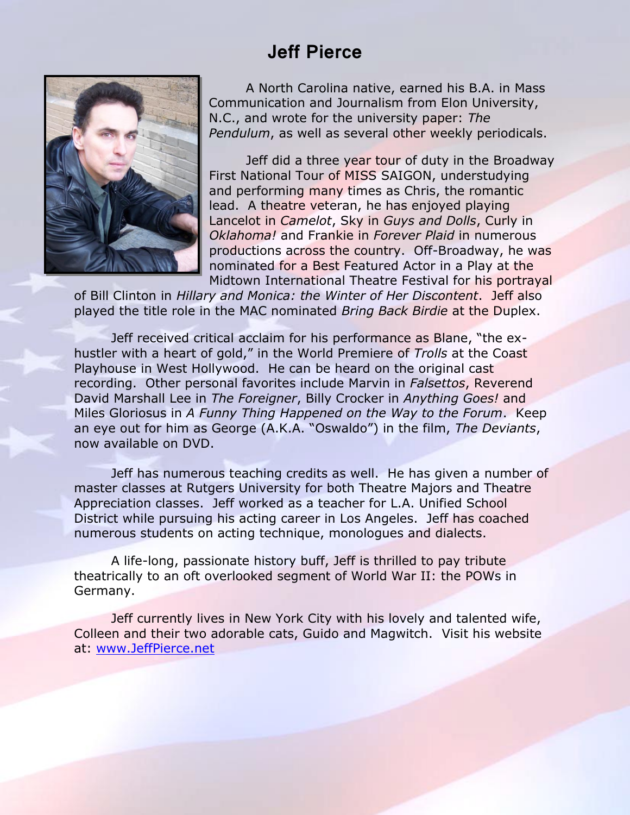### **Jeff Pierce**



A North Carolina native, earned his B.A. in Mass Communication and Journalism from Elon University, N.C., and wrote for the university paper: *The Pendulum*, as well as several other weekly periodicals.

Jeff did a three year tour of duty in the Broadway First National Tour of MISS SAIGON, understudying and performing many times as Chris, the romantic lead. A theatre veteran, he has enjoyed playing Lancelot in *Camelot*, Sky in *Guys and Dolls*, Curly in *Oklahoma!* and Frankie in *Forever Plaid* in numerous productions across the country. Off-Broadway, he was nominated for a Best Featured Actor in a Play at the Midtown International Theatre Festival for his portrayal

of Bill Clinton in *Hillary and Monica: the Winter of Her Discontent*. Jeff also played the title role in the MAC nominated *Bring Back Birdie* at the Duplex.

Jeff received critical acclaim for his performance as Blane, "the exhustler with a heart of gold," in the World Premiere of *Trolls* at the Coast Playhouse in West Hollywood. He can be heard on the original cast recording. Other personal favorites include Marvin in *Falsettos*, Reverend David Marshall Lee in *The Foreigner*, Billy Crocker in *Anything Goes!* and Miles Gloriosus in *A Funny Thing Happened on the Way to the Forum*. Keep an eye out for him as George (A.K.A. "Oswaldo") in the film, *The Deviants*, now available on DVD.

Jeff has numerous teaching credits as well. He has given a number of master classes at Rutgers University for both Theatre Majors and Theatre Appreciation classes. Jeff worked as a teacher for L.A. Unified School District while pursuing his acting career in Los Angeles. Jeff has coached numerous students on acting technique, monologues and dialects.

A life-long, passionate history buff, Jeff is thrilled to pay tribute theatrically to an oft overlooked segment of World War II: the POWs in Germany.

Jeff currently lives in New York City with his lovely and talented wife, Colleen and their two adorable cats, Guido and Magwitch. Visit his website at: [www.JeffPierce.net](http://www.jeffpierce.net/)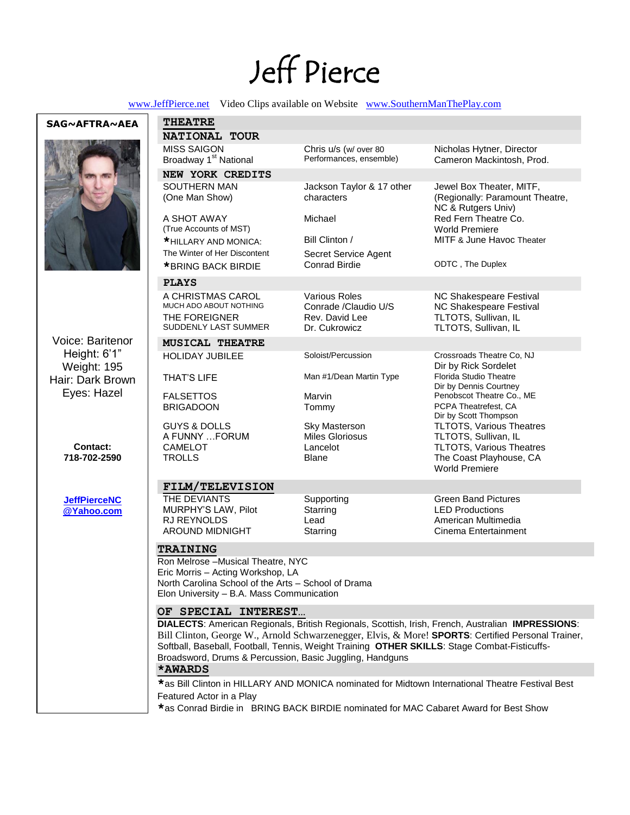# Jeff Pierce

[www.JeffPierce.net](http://www.jeffpierce.net/) Video Clips available on Website www.SouthernManThePlay.com

#### **SAG~AFTRA~AEA**



Voice: Baritenor Height: 6'1" Weight: 195 Hair: Dark Brown Eyes: Hazel

> **Contact: 718-702-2590**

**[JeffPierceNC](mailto:JeffPierceNC@Juno.com) [@Yahoo.com](mailto:JeffPierceNC@Juno.com)**

| <b>THEATRE</b>                                                                                                                                                                                 |                                                                           |                                                                                                                                                                                                                                                                                                         |
|------------------------------------------------------------------------------------------------------------------------------------------------------------------------------------------------|---------------------------------------------------------------------------|---------------------------------------------------------------------------------------------------------------------------------------------------------------------------------------------------------------------------------------------------------------------------------------------------------|
| NATIONAL TOUR                                                                                                                                                                                  |                                                                           |                                                                                                                                                                                                                                                                                                         |
| <b>MISS SAIGON</b><br>Broadway 1 <sup>st</sup> National                                                                                                                                        | Chris u/s (w/ over 80<br>Performances, ensemble)                          | Nicholas Hytner, Director<br>Cameron Mackintosh, Prod.                                                                                                                                                                                                                                                  |
| NEW YORK CREDITS                                                                                                                                                                               |                                                                           |                                                                                                                                                                                                                                                                                                         |
| SOUTHERN MAN<br>(One Man Show)                                                                                                                                                                 | Jackson Taylor & 17 other<br>characters                                   | Jewel Box Theater, MITF,<br>(Regionally: Paramount Theatre,<br>NC & Rutgers Univ)                                                                                                                                                                                                                       |
| A SHOT AWAY<br>(True Accounts of MST)                                                                                                                                                          | Michael                                                                   | Red Fern Theatre Co.<br><b>World Premiere</b>                                                                                                                                                                                                                                                           |
| *HILLARY AND MONICA:                                                                                                                                                                           | Bill Clinton /                                                            | MITF & June Havoc Theater                                                                                                                                                                                                                                                                               |
| The Winter of Her Discontent<br>*BRING BACK BIRDIE                                                                                                                                             | Secret Service Agent<br>Conrad Birdie                                     | ODTC, The Duplex                                                                                                                                                                                                                                                                                        |
| <b>PLAYS</b>                                                                                                                                                                                   |                                                                           |                                                                                                                                                                                                                                                                                                         |
| A CHRISTMAS CAROL<br>MUCH ADO ABOUT NOTHING<br>THE FOREIGNER<br>SUDDENLY LAST SUMMER                                                                                                           | Various Roles<br>Conrade / Claudio U/S<br>Rev. David Lee<br>Dr. Cukrowicz | NC Shakespeare Festival<br>NC Shakespeare Festival<br>TLTOTS, Sullivan, IL<br>TLTOTS, Sullivan, IL                                                                                                                                                                                                      |
| <b>MUSICAL THEATRE</b>                                                                                                                                                                         |                                                                           |                                                                                                                                                                                                                                                                                                         |
| <b>HOLIDAY JUBILEE</b>                                                                                                                                                                         | Soloist/Percussion                                                        | Crossroads Theatre Co, NJ<br>Dir by Rick Sordelet                                                                                                                                                                                                                                                       |
| <b>THAT'S LIFE</b>                                                                                                                                                                             | Man #1/Dean Martin Type                                                   | <b>Florida Studio Theatre</b><br>Dir by Dennis Courtney                                                                                                                                                                                                                                                 |
| <b>FALSETTOS</b><br><b>BRIGADOON</b>                                                                                                                                                           | Marvin<br>Tommy                                                           | Penobscot Theatre Co., ME<br>PCPA Theatrefest, CA<br>Dir by Scott Thompson                                                                                                                                                                                                                              |
| <b>GUYS &amp; DOLLS</b><br>A FUNNY FORUM                                                                                                                                                       | Sky Masterson<br>Miles Gloriosus                                          | <b>TLTOTS, Various Theatres</b>                                                                                                                                                                                                                                                                         |
| <b>CAMELOT</b>                                                                                                                                                                                 | Lancelot                                                                  | TLTOTS, Sullivan, IL<br><b>TLTOTS, Various Theatres</b>                                                                                                                                                                                                                                                 |
| TROLLS                                                                                                                                                                                         | Blane                                                                     | The Coast Playhouse, CA<br><b>World Premiere</b>                                                                                                                                                                                                                                                        |
| FILM/TELEVISION                                                                                                                                                                                |                                                                           |                                                                                                                                                                                                                                                                                                         |
| THE DEVIANTS                                                                                                                                                                                   | Supporting                                                                | <b>Green Band Pictures</b>                                                                                                                                                                                                                                                                              |
| MURPHY'S LAW, Pilot                                                                                                                                                                            | Starring                                                                  | <b>LED Productions</b>                                                                                                                                                                                                                                                                                  |
| <b>RJ REYNOLDS</b><br>AROUND MIDNIGHT                                                                                                                                                          | Lead<br>Starring                                                          | American Multimedia<br>Cinema Entertainment                                                                                                                                                                                                                                                             |
|                                                                                                                                                                                                |                                                                           |                                                                                                                                                                                                                                                                                                         |
| <b>TRAINING</b><br>Ron Melrose - Musical Theatre, NYC<br>Eric Morris - Acting Workshop, LA<br>North Carolina School of the Arts - School of Drama<br>Elon University - B.A. Mass Communication |                                                                           |                                                                                                                                                                                                                                                                                                         |
| OF SPECIAL INTEREST                                                                                                                                                                            |                                                                           |                                                                                                                                                                                                                                                                                                         |
|                                                                                                                                                                                                |                                                                           | DIALECTS: American Regionals, British Regionals, Scottish, Irish, French, Australian IMPRESSIONS:<br>Bill Clinton, George W., Arnold Schwarzenegger, Elvis, & More! SPORTS: Certified Personal Trainer,<br>Softball, Baseball, Football, Tennis, Weight Training OTHER SKILLS: Stage Combat-Fisticuffs- |
|                                                                                                                                                                                                | Broadsword, Drums & Percussion, Basic Juggling, Handguns                  |                                                                                                                                                                                                                                                                                                         |
| *AWARDS                                                                                                                                                                                        |                                                                           |                                                                                                                                                                                                                                                                                                         |
| Featured Actor in a Play                                                                                                                                                                       |                                                                           | *as Bill Clinton in HILLARY AND MONICA nominated for Midtown International Theatre Festival Best                                                                                                                                                                                                        |

**\***as Conrad Birdie in BRING BACK BIRDIE nominated for MAC Cabaret Award for Best Show